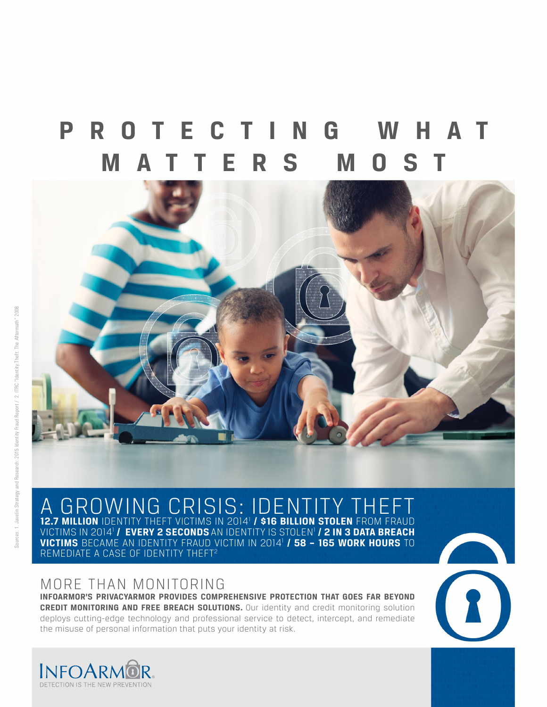## **P R O T E C T I N G W H A T MATTERS MOST**



12.7 MILLION IDENTITY THEFT VICTIMS IN 2014<sup>1</sup> / \$16 BILLION STOLEN FROM FRAUD VICTIMS IN 2014<sup>1</sup> / EVERY 2 SECONDS AN IDENTITY IS STOLEN<sup>1</sup> / **2 in 3 data breach VICTIMS** BECAME AN IDENTITY FRAUD VICTIM IN 2014 1  **/ 58 – 165 WORK HOURS** TO REMEDIATE A CASE OF IDENTITY THEFT<sup>2</sup> A GROWING CRISIS: IDENTITY TH

## MORE THAN MONITORING

**INFOARMOR'S PRIVACYARMOR PROVIDES COMPREHENSIVE PROTECTION THAT GOES FAR BEYOND CREDIT MONITORING AND FREE BREACH SOLUTIONS.** Our identity and credit monitoring solution deploys cutting-edge technology and professional service to detect, intercept, and remediate the misuse of personal information that puts your identity at risk.